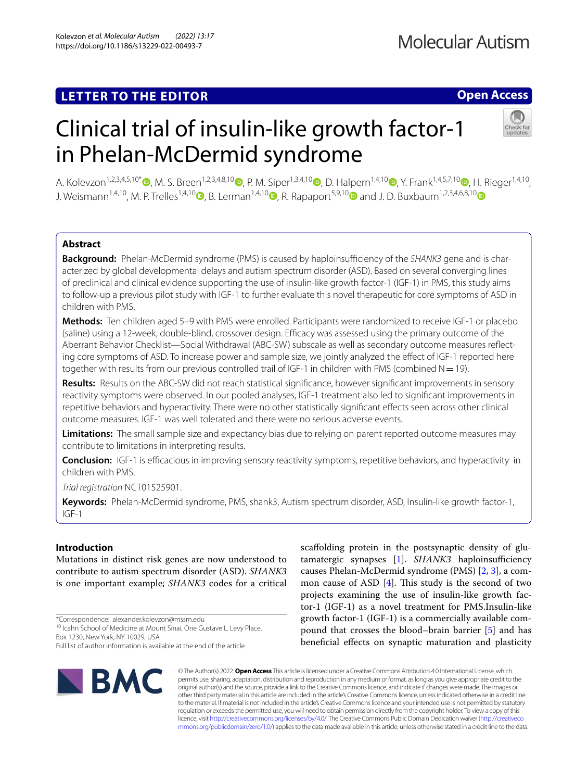# **LETTER TO THE EDITOR**

# **Open Access**

# Clinical trial of insulin-like growth factor-1 in Phelan-McDermid syndrome



A. Kolevzon<sup>1,2,3,4,5,10[\\*](http://orcid.org/0000-0001-8129-2671)</sup> D. M. S. Breen<sup>1[,](http://orcid.org/0000-0002-9659-8232)2,3,4,8,10</sup> D. P. M. Siper<sup>1,3,4,10</sup> D. D. Halpern<sup>1,4,10</sup> D. Y. Frank<sup>1,4,5,7,10</sup> D. H. Rieger<sup>1,4,10</sup> J. Weismann<sup>1,4,10</sup>[,](http://orcid.org/0000-0002-9032-1224) M. P. Trelles<sup>1,4,1[0](http://orcid.org/0000-0001-8898-8313)</sup> B. Lerman<sup>1,4,10</sup> R. Rapaport<sup>5,9,10</sup> and J. D. Buxbaum<sup>1,2,3,4,6,8,10</sup>

# **Abstract**

**Background:** Phelan-McDermid syndrome (PMS) is caused by haploinsufficiency of the SHANK3 gene and is characterized by global developmental delays and autism spectrum disorder (ASD). Based on several converging lines of preclinical and clinical evidence supporting the use of insulin-like growth factor-1 (IGF-1) in PMS, this study aims to follow-up a previous pilot study with IGF-1 to further evaluate this novel therapeutic for core symptoms of ASD in children with PMS.

**Methods:** Ten children aged 5–9 with PMS were enrolled. Participants were randomized to receive IGF-1 or placebo (saline) using a 12-week, double-blind, crossover design. Efficacy was assessed using the primary outcome of the Aberrant Behavior Checklist—Social Withdrawal (ABC-SW) subscale as well as secondary outcome measures refecting core symptoms of ASD. To increase power and sample size, we jointly analyzed the efect of IGF-1 reported here together with results from our previous controlled trail of IGF-1 in children with PMS (combined  $N=19$ ).

**Results:** Results on the ABC-SW did not reach statistical signifcance, however signifcant improvements in sensory reactivity symptoms were observed. In our pooled analyses, IGF-1 treatment also led to signifcant improvements in repetitive behaviors and hyperactivity. There were no other statistically signifcant efects seen across other clinical outcome measures. IGF-1 was well tolerated and there were no serious adverse events.

**Limitations:** The small sample size and expectancy bias due to relying on parent reported outcome measures may contribute to limitations in interpreting results.

**Conclusion:** IGF-1 is efficacious in improving sensory reactivity symptoms, repetitive behaviors, and hyperactivity in children with PMS.

*Trial registration* NCT01525901.

**Keywords:** Phelan-McDermid syndrome, PMS, shank3, Autism spectrum disorder, ASD, Insulin-like growth factor-1, IGF-1

# **Introduction**

Mutations in distinct risk genes are now understood to contribute to autism spectrum disorder (ASD). *SHANK3* is one important example; *SHANK3* codes for a critical

\*Correspondence: alexander.kolevzon@mssm.edu

<sup>10</sup> Icahn School of Medicine at Mount Sinai, One Gustave L. Levy Place, Box 1230, New York, NY 10029, USA

Full list of author information is available at the end of the article



scafolding protein in the postsynaptic density of glu-tamatergic synapses [[1\]](#page-4-0). SHANK3 haploinsufficiency causes Phelan-McDermid syndrome (PMS) [[2,](#page-4-1) [3](#page-4-2)], a common cause of ASD  $[4]$  $[4]$ . This study is the second of two projects examining the use of insulin-like growth factor-1 (IGF-1) as a novel treatment for PMS.Insulin-like growth factor-1 (IGF-1) is a commercially available compound that crosses the blood–brain barrier [\[5](#page-4-4)] and has benefcial efects on synaptic maturation and plasticity

© The Author(s) 2022. **Open Access** This article is licensed under a Creative Commons Attribution 4.0 International License, which permits use, sharing, adaptation, distribution and reproduction in any medium or format, as long as you give appropriate credit to the original author(s) and the source, provide a link to the Creative Commons licence, and indicate if changes were made. The images or other third party material in this article are included in the article's Creative Commons licence, unless indicated otherwise in a credit line to the material. If material is not included in the article's Creative Commons licence and your intended use is not permitted by statutory regulation or exceeds the permitted use, you will need to obtain permission directly from the copyright holder. To view a copy of this licence, visit [http://creativecommons.org/licenses/by/4.0/.](http://creativecommons.org/licenses/by/4.0/) The Creative Commons Public Domain Dedication waiver ([http://creativeco](http://creativecommons.org/publicdomain/zero/1.0/) [mmons.org/publicdomain/zero/1.0/](http://creativecommons.org/publicdomain/zero/1.0/)) applies to the data made available in this article, unless otherwise stated in a credit line to the data.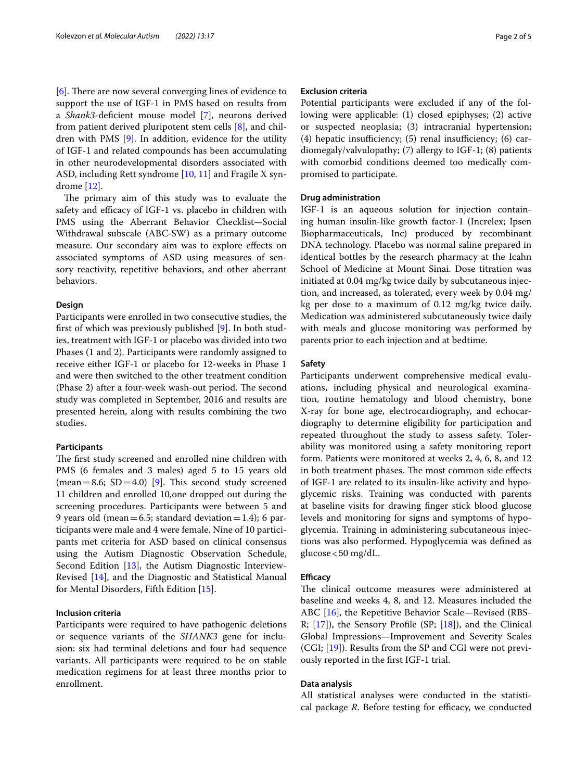[[6\]](#page-4-5). There are now several converging lines of evidence to support the use of IGF-1 in PMS based on results from a *Shank3*-defcient mouse model [\[7](#page-4-6)], neurons derived from patient derived pluripotent stem cells [[8\]](#page-4-7), and children with PMS [[9\]](#page-4-8). In addition, evidence for the utility of IGF-1 and related compounds has been accumulating in other neurodevelopmental disorders associated with ASD, including Rett syndrome [[10](#page-4-9), [11\]](#page-4-10) and Fragile X syndrome [[12\]](#page-4-11).

The primary aim of this study was to evaluate the safety and efficacy of IGF-1 vs. placebo in children with PMS using the Aberrant Behavior Checklist—Social Withdrawal subscale (ABC-SW) as a primary outcome measure. Our secondary aim was to explore efects on associated symptoms of ASD using measures of sensory reactivity, repetitive behaviors, and other aberrant behaviors.

#### **Design**

Participants were enrolled in two consecutive studies, the frst of which was previously published [\[9\]](#page-4-8). In both studies, treatment with IGF-1 or placebo was divided into two Phases (1 and 2). Participants were randomly assigned to receive either IGF-1 or placebo for 12-weeks in Phase 1 and were then switched to the other treatment condition (Phase 2) after a four-week wash-out period. The second study was completed in September, 2016 and results are presented herein, along with results combining the two studies.

#### **Participants**

The first study screened and enrolled nine children with PMS (6 females and 3 males) aged 5 to 15 years old (mean = 8.6;  $SD = 4.0$ ) [[9\]](#page-4-8). This second study screened 11 children and enrolled 10,one dropped out during the screening procedures. Participants were between 5 and 9 years old (mean  $=6.5$ ; standard deviation  $=1.4$ ); 6 participants were male and 4 were female. Nine of 10 participants met criteria for ASD based on clinical consensus using the Autism Diagnostic Observation Schedule, Second Edition [\[13](#page-4-12)], the Autism Diagnostic Interview-Revised [\[14](#page-4-13)], and the Diagnostic and Statistical Manual for Mental Disorders, Fifth Edition [[15\]](#page-4-14).

# **Inclusion criteria**

Participants were required to have pathogenic deletions or sequence variants of the *SHANK3* gene for inclusion: six had terminal deletions and four had sequence variants. All participants were required to be on stable medication regimens for at least three months prior to enrollment.

# **Exclusion criteria**

Potential participants were excluded if any of the following were applicable: (1) closed epiphyses; (2) active or suspected neoplasia; (3) intracranial hypertension; (4) hepatic insufficiency;  $(5)$  renal insufficiency;  $(6)$  cardiomegaly/valvulopathy; (7) allergy to IGF-1; (8) patients with comorbid conditions deemed too medically compromised to participate.

# **Drug administration**

IGF-1 is an aqueous solution for injection containing human insulin-like growth factor-1 (Increlex; Ipsen Biopharmaceuticals, Inc) produced by recombinant DNA technology. Placebo was normal saline prepared in identical bottles by the research pharmacy at the Icahn School of Medicine at Mount Sinai. Dose titration was initiated at 0.04 mg/kg twice daily by subcutaneous injection, and increased, as tolerated, every week by 0.04 mg/ kg per dose to a maximum of 0.12 mg/kg twice daily. Medication was administered subcutaneously twice daily with meals and glucose monitoring was performed by parents prior to each injection and at bedtime.

### **Safety**

Participants underwent comprehensive medical evaluations, including physical and neurological examination, routine hematology and blood chemistry, bone X-ray for bone age, electrocardiography, and echocardiography to determine eligibility for participation and repeated throughout the study to assess safety. Tolerability was monitored using a safety monitoring report form. Patients were monitored at weeks 2, 4, 6, 8, and 12 in both treatment phases. The most common side effects of IGF-1 are related to its insulin-like activity and hypoglycemic risks. Training was conducted with parents at baseline visits for drawing fnger stick blood glucose levels and monitoring for signs and symptoms of hypoglycemia. Training in administering subcutaneous injections was also performed. Hypoglycemia was defned as  $glucose < 50$  mg/dL.

#### **Efficacy**

The clinical outcome measures were administered at baseline and weeks 4, 8, and 12. Measures included the ABC [[16\]](#page-4-15), the Repetitive Behavior Scale—Revised (RBS-R; [[17\]](#page-4-16)), the Sensory Profle (SP; [\[18\]](#page-4-17)), and the Clinical Global Impressions—Improvement and Severity Scales (CGI; [\[19](#page-4-18)]). Results from the SP and CGI were not previously reported in the frst IGF-1 trial.

# **Data analysis**

All statistical analyses were conducted in the statistical package *R*. Before testing for efficacy, we conducted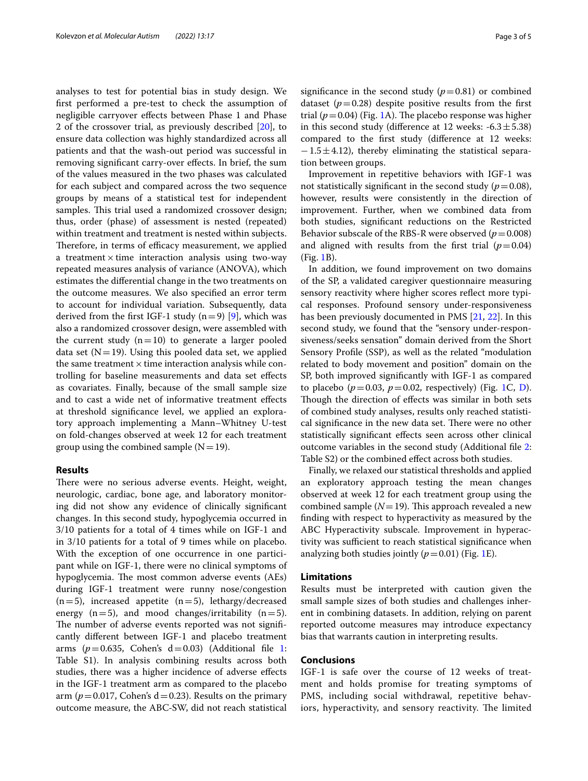analyses to test for potential bias in study design. We frst performed a pre-test to check the assumption of negligible carryover efects between Phase 1 and Phase 2 of the crossover trial, as previously described [\[20](#page-4-19)], to ensure data collection was highly standardized across all patients and that the wash-out period was successful in removing signifcant carry-over efects. In brief, the sum of the values measured in the two phases was calculated for each subject and compared across the two sequence groups by means of a statistical test for independent samples. This trial used a randomized crossover design; thus, order (phase) of assessment is nested (repeated) within treatment and treatment is nested within subjects. Therefore, in terms of efficacy measurement, we applied a treatment  $\times$  time interaction analysis using two-way repeated measures analysis of variance (ANOVA), which estimates the diferential change in the two treatments on the outcome measures. We also specifed an error term to account for individual variation. Subsequently, data derived from the first IGF-1 study  $(n=9)$  [\[9\]](#page-4-8), which was also a randomized crossover design, were assembled with the current study  $(n=10)$  to generate a larger pooled data set  $(N=19)$ . Using this pooled data set, we applied the same treatment  $\times$  time interaction analysis while controlling for baseline measurements and data set efects as covariates. Finally, because of the small sample size and to cast a wide net of informative treatment efects at threshold signifcance level, we applied an exploratory approach implementing a Mann–Whitney U-test on fold-changes observed at week 12 for each treatment group using the combined sample  $(N=19)$ .

#### **Results**

There were no serious adverse events. Height, weight, neurologic, cardiac, bone age, and laboratory monitoring did not show any evidence of clinically signifcant changes. In this second study, hypoglycemia occurred in 3/10 patients for a total of 4 times while on IGF-1 and in 3/10 patients for a total of 9 times while on placebo. With the exception of one occurrence in one participant while on IGF-1, there were no clinical symptoms of hypoglycemia. The most common adverse events (AEs) during IGF-1 treatment were runny nose/congestion  $(n=5)$ , increased appetite  $(n=5)$ , lethargy/decreased energy  $(n=5)$ , and mood changes/irritability  $(n=5)$ . The number of adverse events reported was not significantly diferent between IGF-1 and placebo treatment arms ( $p=0.635$ , Cohen's d=0.03) (Additional file [1](#page-3-0): Table S1). In analysis combining results across both studies, there was a higher incidence of adverse efects in the IGF-1 treatment arm as compared to the placebo arm ( $p = 0.017$ , Cohen's d=0.23). Results on the primary outcome measure, the ABC-SW, did not reach statistical significance in the second study  $(p=0.81)$  or combined dataset  $(p=0.28)$  despite positive results from the first trial  $(p=0.04)$  (Fig. [1A](#page-3-1)). The placebo response was higher in this second study (difference at 12 weeks:  $-6.3 \pm 5.38$ ) compared to the frst study (diference at 12 weeks:  $-1.5\pm4.12$ ), thereby eliminating the statistical separation between groups.

Improvement in repetitive behaviors with IGF-1 was not statistically significant in the second study  $(p=0.08)$ , however, results were consistently in the direction of improvement. Further, when we combined data from both studies, signifcant reductions on the Restricted Behavior subscale of the RBS-R were observed ( $p=0.008$ ) and aligned with results from the first trial  $(p=0.04)$ (Fig. [1B](#page-3-1)).

In addition, we found improvement on two domains of the SP, a validated caregiver questionnaire measuring sensory reactivity where higher scores refect more typical responses. Profound sensory under-responsiveness has been previously documented in PMS [\[21](#page-4-20), [22\]](#page-4-21). In this second study, we found that the "sensory under-responsiveness/seeks sensation" domain derived from the Short Sensory Profle (SSP), as well as the related "modulation related to body movement and position" domain on the SP, both improved signifcantly with IGF-1 as compared to placebo ( $p=0.03$ ,  $p=0.02$ , respectively) (Fig. [1](#page-3-1)C, [D](#page-3-1)). Though the direction of effects was similar in both sets of combined study analyses, results only reached statistical significance in the new data set. There were no other statistically signifcant efects seen across other clinical outcome variables in the second study (Additional fle [2](#page-3-2): Table S2) or the combined efect across both studies.

Finally, we relaxed our statistical thresholds and applied an exploratory approach testing the mean changes observed at week 12 for each treatment group using the combined sample  $(N=19)$ . This approach revealed a new fnding with respect to hyperactivity as measured by the ABC Hyperactivity subscale. Improvement in hyperactivity was sufficient to reach statistical significance when analyzing both studies jointly  $(p=0.01)$  (Fig. [1E](#page-3-1)).

#### **Limitations**

Results must be interpreted with caution given the small sample sizes of both studies and challenges inherent in combining datasets. In addition, relying on parent reported outcome measures may introduce expectancy bias that warrants caution in interpreting results.

# **Conclusions**

IGF-1 is safe over the course of 12 weeks of treatment and holds promise for treating symptoms of PMS, including social withdrawal, repetitive behaviors, hyperactivity, and sensory reactivity. The limited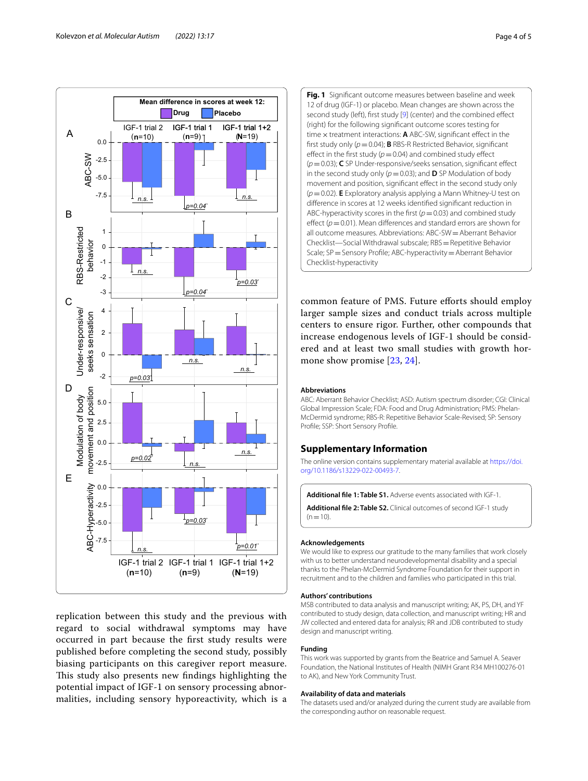

replication between this study and the previous with regard to social withdrawal symptoms may have occurred in part because the frst study results were published before completing the second study, possibly biasing participants on this caregiver report measure. This study also presents new findings highlighting the potential impact of IGF-1 on sensory processing abnormalities, including sensory hyporeactivity, which is a

<span id="page-3-1"></span>**Fig. 1** Signifcant outcome measures between baseline and week 12 of drug (IGF-1) or placebo. Mean changes are shown across the second study (left), first study [[9\]](#page-4-8) (center) and the combined effect (right) for the following signifcant outcome scores testing for time  $\times$  treatment interactions:  $\bf{A}$  ABC-SW, significant effect in the frst study only (*p*=0.04); **B** RBS-R Restricted Behavior, signifcant effect in the first study  $(p=0.04)$  and combined study effect (*p*=0.03); **C** SP Under-responsive/seeks sensation, signifcant efect in the second study only  $(p=0.03)$ ; and **D** SP Modulation of body movement and position, signifcant efect in the second study only (*p*=0.02). **E** Exploratory analysis applying a Mann Whitney-U test on diference in scores at 12 weeks identifed signifcant reduction in ABC-hyperactivity scores in the first  $(p=0.03)$  and combined study effect ( $p=0.01$ ). Mean differences and standard errors are shown for all outcome measures. Abbreviations: ABC-SW=Aberrant Behavior Checklist—Social Withdrawal subscale; RBS=Repetitive Behavior Scale; SP = Sensory Profile; ABC-hyperactivity = Aberrant Behavior Checklist-hyperactivity

common feature of PMS. Future efforts should employ larger sample sizes and conduct trials across multiple centers to ensure rigor. Further, other compounds that increase endogenous levels of IGF-1 should be considered and at least two small studies with growth hormone show promise [\[23](#page-4-22), [24](#page-4-23)].

#### **Abbreviations**

ABC: Aberrant Behavior Checklist; ASD: Autism spectrum disorder; CGI: Clinical Global Impression Scale; FDA: Food and Drug Administration; PMS: Phelan-McDermid syndrome; RBS-R: Repetitive Behavior Scale-Revised; SP: Sensory Profle; SSP: Short Sensory Profle.

## **Supplementary Information**

The online version contains supplementary material available at [https://doi.](https://doi.org/10.1186/s13229-022-00493-7) [org/10.1186/s13229-022-00493-7](https://doi.org/10.1186/s13229-022-00493-7).

<span id="page-3-2"></span><span id="page-3-0"></span>**Additional fle 1: Table S1.** Adverse events associated with IGF-1.

**Additional fle 2: Table S2.** Clinical outcomes of second IGF-1 study  $(n=10)$ .

#### **Acknowledgements**

We would like to express our gratitude to the many families that work closely with us to better understand neurodevelopmental disability and a special thanks to the Phelan-McDermid Syndrome Foundation for their support in recruitment and to the children and families who participated in this trial.

#### **Authors' contributions**

MSB contributed to data analysis and manuscript writing; AK, PS, DH, and YF contributed to study design, data collection, and manuscript writing; HR and JW collected and entered data for analysis; RR and JDB contributed to study design and manuscript writing.

#### **Funding**

This work was supported by grants from the Beatrice and Samuel A. Seaver Foundation, the National Institutes of Health (NIMH Grant R34 MH100276-01 to AK), and New York Community Trust.

#### **Availability of data and materials**

The datasets used and/or analyzed during the current study are available from the corresponding author on reasonable request.